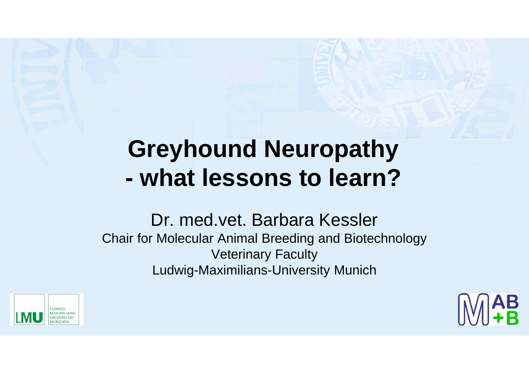## **Greyhound Neuropathy - what lessons to learn?**

#### Dr. med.vet. Barbara Kessler Chair for Molecular Animal Breeding and Biotechnology Veterinary Faculty Ludwig-Maximilians-University Munich



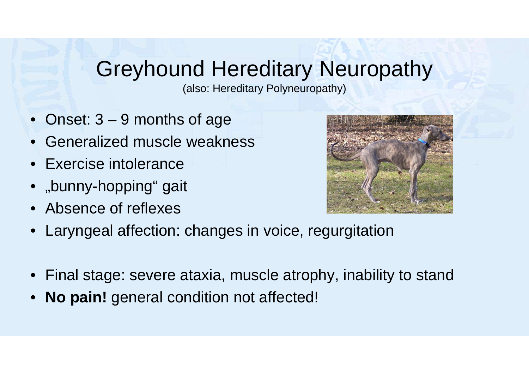#### Greyhound Hereditary Neuropathy

(also: Hereditary Polyneuropathy)

- Onset: 3 9 months of age
- Generalized muscle weakness
- Exercise intolerance
- "bunny-hopping" gait
- Absence of reflexes



- Laryngeal affection: changes in voice, regurgitation
- Final stage: severe ataxia, muscle atrophy, inability to stand
- **No pain!** general condition not affected!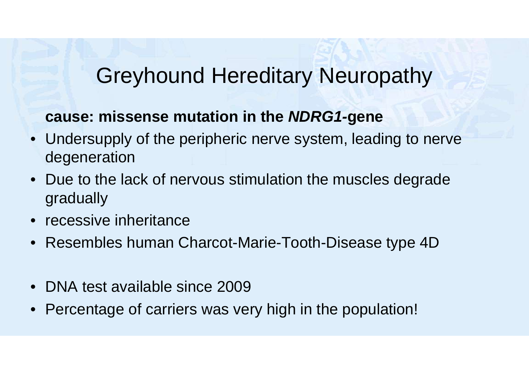#### Greyhound Hereditary Neuropathy

#### **cause: missense mutation in the NDRG1-gene**

- Undersupply of the peripheric nerve system, leading to nerve degeneration
- Due to the lack of nervous stimulation the muscles degrade gradually
- recessive inheritance
- Resembles human Charcot-Marie-Tooth-Disease type 4D
- DNA test available since 2009
- Percentage of carriers was very high in the population!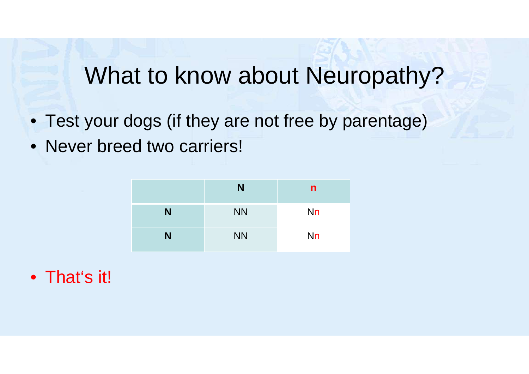### What to know about Neuropathy?

- Test your dogs (if they are not free by parentage)
- Never breed two carriers!

|   | N         | n         |
|---|-----------|-----------|
| N | <b>NN</b> | <b>Nn</b> |
| N | <b>NN</b> | <b>Nn</b> |

• That's it!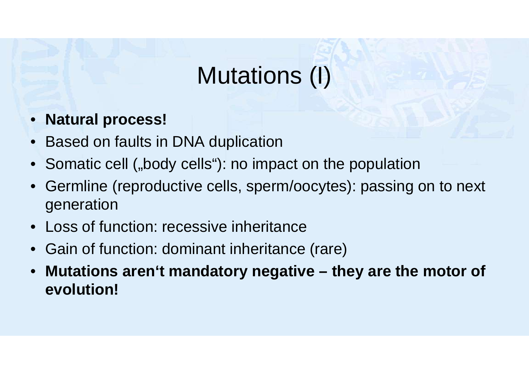## Mutations (I)

- **Natural process!**
- Based on faults in DNA duplication
- Somatic cell ("body cells"): no impact on the population
- Germline (reproductive cells, sperm/oocytes): passing on to next generation
- Loss of function: recessive inheritance
- Gain of function: dominant inheritance (rare)
- **Mutations aren't mandatory negative they are the motor of evolution!**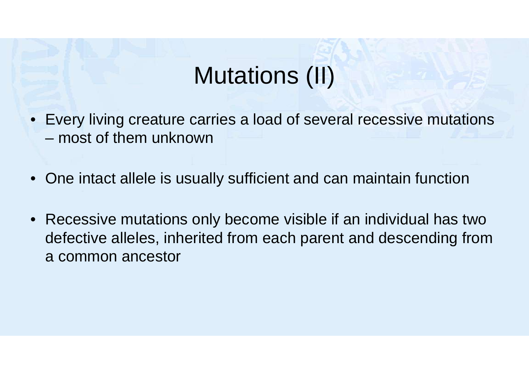## Mutations (II)

- Every living creature carries a load of several recessive mutations – most of them unknown
- One intact allele is usually sufficient and can maintain function
- Recessive mutations only become visible if an individual has two defective alleles, inherited from each parent and descending from a common ancestor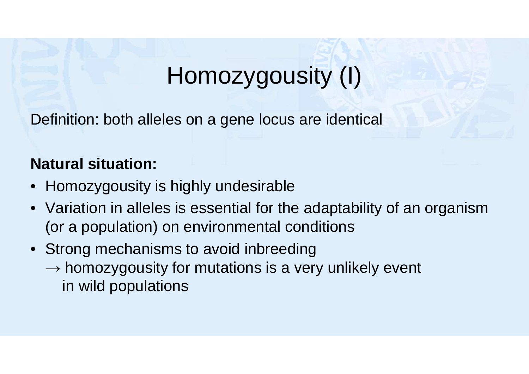# Homozygousity (I)

Definition: both alleles on a gene locus are identical

#### **Natural situation:**

- Homozygousity is highly undesirable
- Variation in alleles is essential for the adaptability of an organism (or a population) on environmental conditions
- Strong mechanisms to avoid inbreeding  $\rightarrow$  homozygousity for mutations is a very unlikely event in wild populations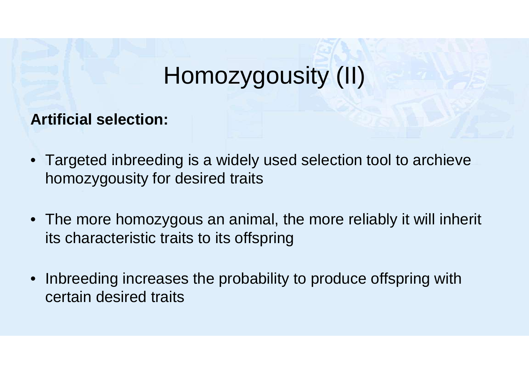## Homozygousity (II)

**Artificial selection:** 

- Targeted inbreeding is a widely used selection tool to archieve homozygousity for desired traits
- The more homozygous an animal, the more reliably it will inherit its characteristic traits to its offspring
- Inbreeding increases the probability to produce offspring with certain desired traits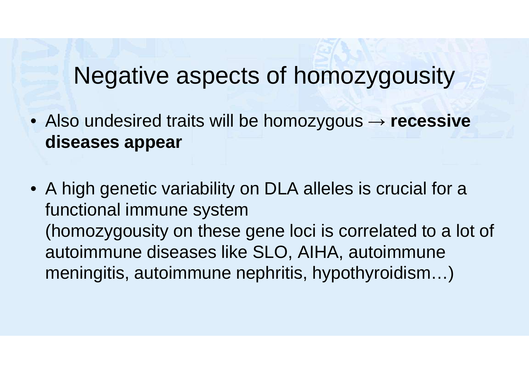#### Negative aspects of homozygousity

- Also undesired traits will be homozygous → **recessive diseases appear**
- A high genetic variability on DLA alleles is crucial for a functional immune system (homozygousity on these gene loci is correlated to a lot of autoimmune diseases like SLO, AIHA, autoimmune meningitis, autoimmune nephritis, hypothyroidism…)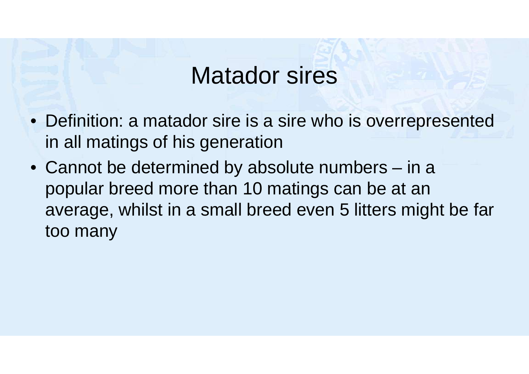### Matador sires

- Definition: a matador sire is a sire who is overrepresented in all matings of his generation
- Cannot be determined by absolute numbers in a popular breed more than 10 matings can be at an average, whilst in a small breed even 5 litters might be far too many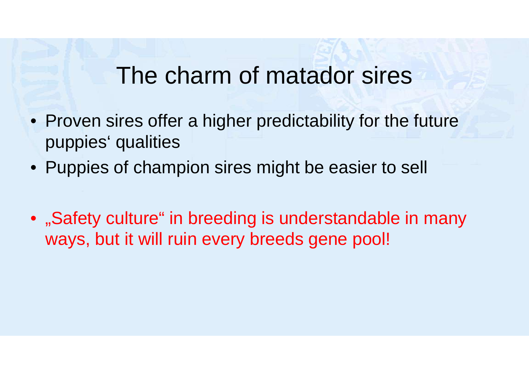#### The charm of matador sires

- Proven sires offer a higher predictability for the future puppies' qualities
- Puppies of champion sires might be easier to sell
- "Safety culture" in breeding is understandable in many ways, but it will ruin every breeds gene pool!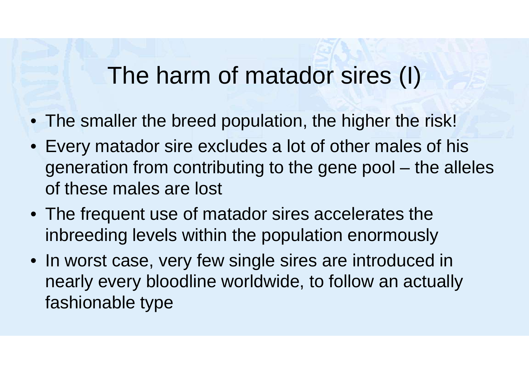## The harm of matador sires (I)

- The smaller the breed population, the higher the risk!
- Every matador sire excludes a lot of other males of his generation from contributing to the gene pool – the alleles of these males are lost
- The frequent use of matador sires accelerates the inbreeding levels within the population enormously
- In worst case, very few single sires are introduced in nearly every bloodline worldwide, to follow an actually fashionable type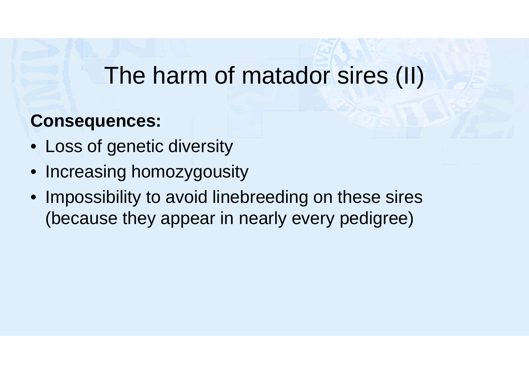## The harm of matador sires (II)

#### **Consequences:**

- Loss of genetic diversity
- Increasing homozygousity
- Impossibility to avoid linebreeding on these sires (because they appear in nearly every pedigree)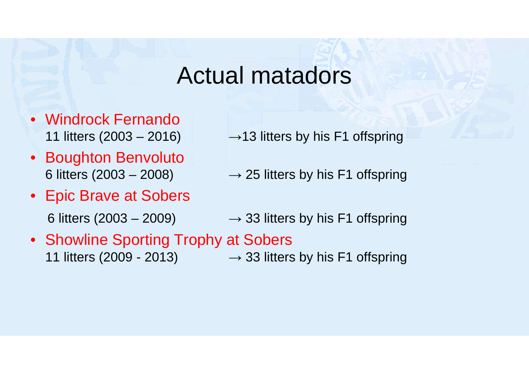#### Actual matadors

- Windrock Fernando
- Boughton Benvoluto
- Epic Brave at Sobers
	-
- 11 litters (2003 2016)  $\rightarrow$  13 litters by his F1 offspring
- 6 litters (2003 2008)  $\rightarrow$  25 litters by his F1 offspring
- 6 litters (2003 2009)  $\rightarrow$  33 litters by his F1 offspring
- Showline Sporting Trophy at Sobers 11 litters (2009 - 2013)  $\rightarrow$  33 litters by his F1 offspring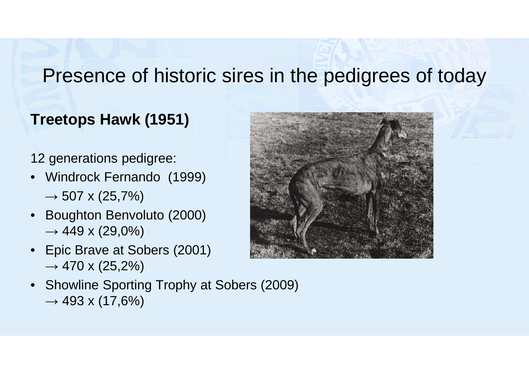#### Presence of historic sires in the pedigrees of today

#### **Treetops Hawk (1951)**

#### 12 generations pedigree:

- Windrock Fernando (1999)  $\rightarrow$  507 x (25,7%)
- Boughton Benvoluto (2000)  $\rightarrow$  449 x (29,0%)
- Epic Brave at Sobers (2001)  $\rightarrow$  470 x (25,2%)
- Showline Sporting Trophy at Sobers (2009)  $\rightarrow$  493 x (17,6%)

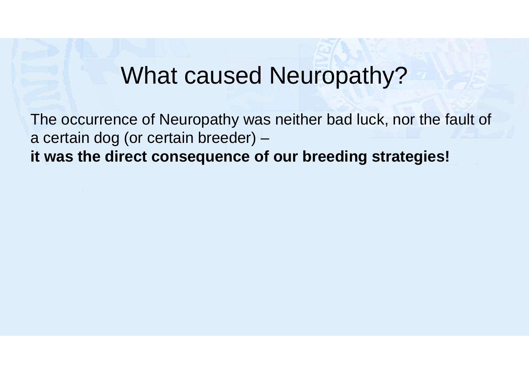### What caused Neuropathy?

The occurrence of Neuropathy was neither bad luck, nor the fault of a certain dog (or certain breeder) – **it was the direct consequence of our breeding strategies!**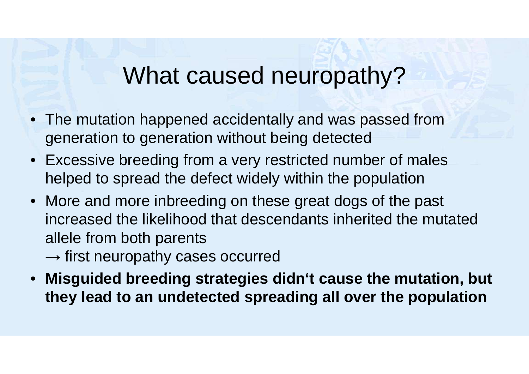## What caused neuropathy?

- The mutation happened accidentally and was passed from generation to generation without being detected
- Excessive breeding from a very restricted number of males helped to spread the defect widely within the population
- More and more inbreeding on these great dogs of the past increased the likelihood that descendants inherited the mutated allele from both parents
	- $\rightarrow$  first neuropathy cases occurred
- **Misguided breeding strategies didn't cause the mutation, but they lead to an undetected spreading all over the population**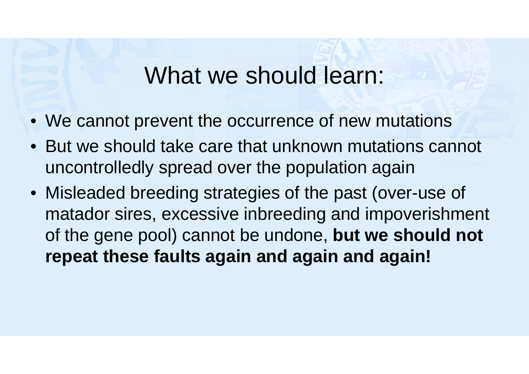#### What we should learn:

- We cannot prevent the occurrence of new mutations
- But we should take care that unknown mutations cannot uncontrolledly spread over the population again
- Misleaded breeding strategies of the past (over-use of matador sires, excessive inbreeding and impoverishment of the gene pool) cannot be undone, **but we should not repeat these faults again and again and again!**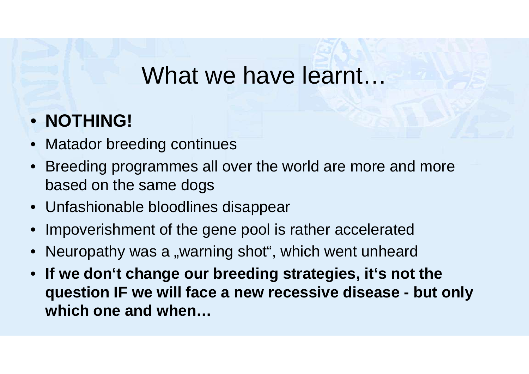#### What we have learnt…

#### • **NOTHING!**

- Matador breeding continues
- Breeding programmes all over the world are more and more based on the same dogs
- Unfashionable bloodlines disappear
- Impoverishment of the gene pool is rather accelerated
- Neuropathy was a "warning shot", which went unheard
- **If we don't change our breeding strategies, it's not the question IF we will face a new recessive disease - but only which one and when…**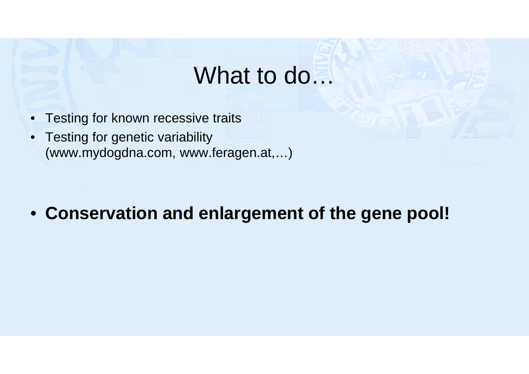#### What to do…

- Testing for known recessive traits
- Testing for genetic variability (www.mydogdna.com, www.feragen.at,…)

#### • **Conservation and enlargement of the gene pool!**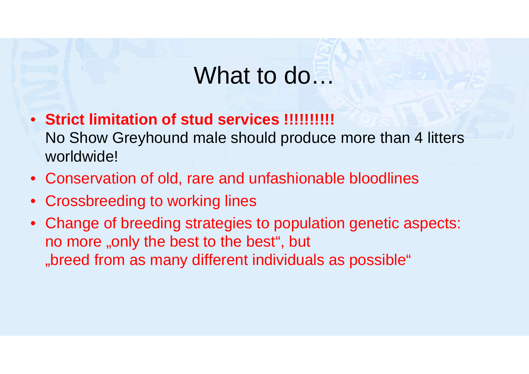### What to do…

- **Strict limitation of stud services !!!!!!!!!!** No Show Greyhound male should produce more than 4 litters worldwide!
- Conservation of old, rare and unfashionable bloodlines
- Crossbreeding to working lines
- Change of breeding strategies to population genetic aspects: no more "only the best to the best", but "breed from as many different individuals as possible"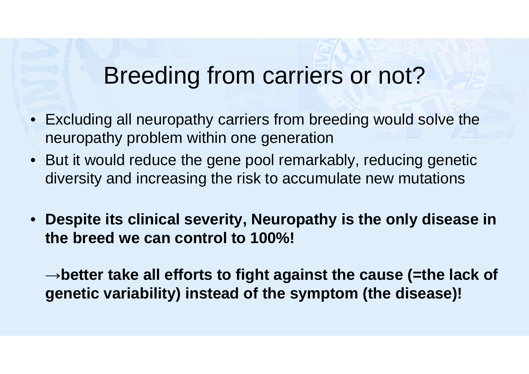## Breeding from carriers or not?

- Excluding all neuropathy carriers from breeding would solve the neuropathy problem within one generation
- But it would reduce the gene pool remarkably, reducing genetic diversity and increasing the risk to accumulate new mutations
- **Despite its clinical severity, Neuropathy is the only disease in the breed we can control to 100%!**

→**better take all efforts to fight against the cause (=the lack of genetic variability) instead of the symptom (the disease)!**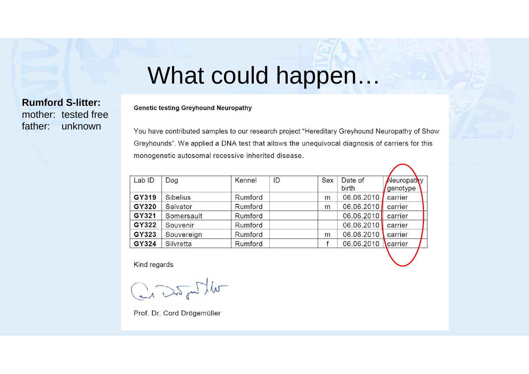### What could happen…

**Rumford S-litter:**  mother: tested free father: unknown

**Genetic testing Greyhound Neuropathy** 

You have contributed samples to our research project "Hereditary Greyhound Neuropathy of Show Greyhounds". We applied a DNA test that allows the unequivocal diagnosis of carriers for this monogenetic autosomal recessive inherited disease.

| Lab ID | Dog             | Kennel  | ID | Sex | Date of    | Neuropathy |
|--------|-----------------|---------|----|-----|------------|------------|
|        |                 |         |    |     | birth      | genotype   |
| GY319  | <b>Sibelius</b> | Rumford |    | m   | 06.06.2010 | carrier    |
| GY320  | Salvator        | Rumford |    | m   | 06.06.2010 | carrier    |
| GY321  | Somersault      | Rumford |    |     | 06.06.2010 | carrier    |
| GY322  | Souvenir        | Rumford |    |     | 06.06.2010 | carrier    |
| GY323  | Souvereign      | Rumford |    | m   | 06.06.2010 | carrier    |
| GY324  | Silvretta       | Rumford |    |     | 06.06.2010 | carrier    |

Kind regards

Crashire

Prof. Dr. Cord Drögemüller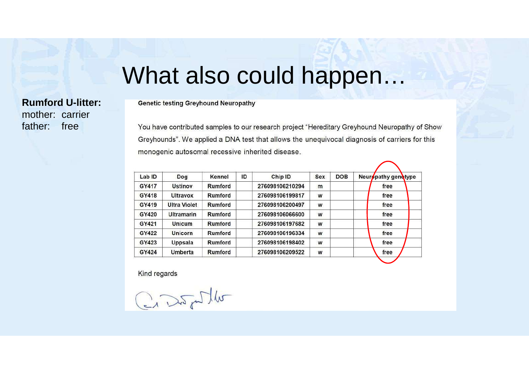#### What also could happen…

#### **Rumford U-litter:**  mother: carrier father: free

**Genetic testing Greyhound Neuropathy** 

You have contributed samples to our research project "Hereditary Greyhound Neuropathy of Show Greyhounds". We applied a DNA test that allows the unequivocal diagnosis of carriers for this monogenic autosomal recessive inherited disease.

| Lab ID | Dog                 | Kennel  | ID | Chip ID         | Sex | <b>DOB</b> | Neuropathy genetype |
|--------|---------------------|---------|----|-----------------|-----|------------|---------------------|
| GY417  | <b>Ustinov</b>      | Rumford |    | 276098106210294 | m   |            | free                |
| GY418  | Ultravox            | Rumford |    | 276098106199817 | W   |            | free                |
| GY419  | <b>Ultra Violet</b> | Rumford |    | 276098106200497 | W   |            | free                |
| GY420  | <b>Ultramarin</b>   | Rumford |    | 276098106066600 | W   |            | free                |
| GY421  | <b>Unicum</b>       | Rumford |    | 276098106197682 | W   |            | free                |
| GY422  | Unicorn             | Rumford |    | 276098106196334 | W   |            | free                |
| GY423  | Uppsala             | Rumford |    | 276098106198402 | W   |            | free                |
| GY424  | Umberta             | Rumford |    | 276098106209522 | W   |            | free                |

Kind regards

Craspoller